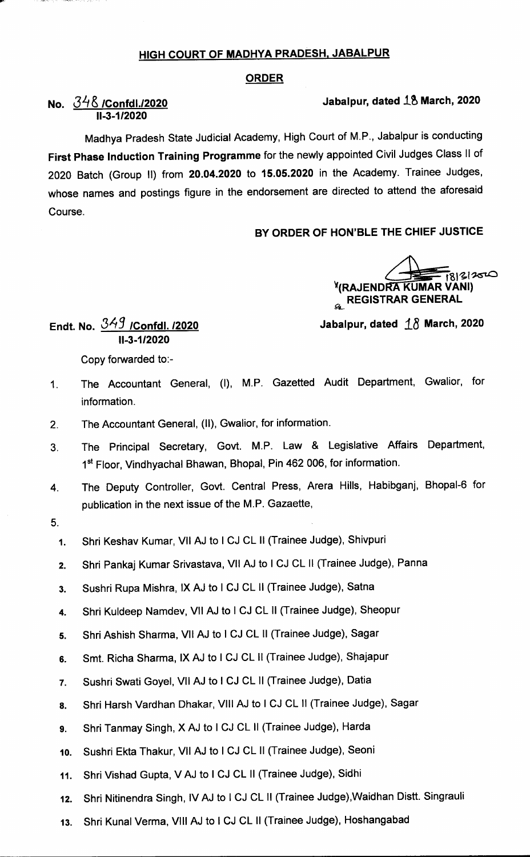### HIGH COURT OF MADHYA PRADESH, JABALPUR

#### ORDER

# Jabalpur, dated  $18$  March, 2020

# No. 348 /Confdl./2020 11-3-1/2020

Madhya Pradesh State Judicial Academy, High Court of M.P., Jabalpur is conducting First Phase Induction Training Programme for the newly appointed Civil Judges Class 11 of 2020 Batch (Group 11) from 20.04.2020 to 15.05.2020 in the Academy. Trainee Judges, whose names and postings figure in the endorsement are directed to attend the aforesaid Course.

#### BY ORDER OF HON'BLE THE CHIEF JUSTICE

 $\sqrt{\frac{1}{18|3|2}}$   $\sqrt{8}$  . **GL REGISTRAR GENERAL** 

Jabalpur, dated  $\angle 18$  March, 2020

Endt. No.  $349$  /Confdl. /2020 II-3-1/2020

Copy forwarded to:-

- The Accountant General, (I), M.P. Gazetted Audit Department, Gwalior, for  $1<sub>1</sub>$ information.
- $2.$ The Accountant General, (II), Gwalior, for information.
- The Principal Secretary, Govt. M.P. Law & Legislative Affairs Department,  $3<sub>1</sub>$ 1<sup>st</sup> Floor, Vindhyachal Bhawan, Bhopal, Pin 462 006, for information.
- 4. The Deputy Controller, Govt. Central Press, Arera Hills, Habibganj, Bhopal-6 for publication in the next issue of the M.P. Gazaette,
- 5.
	- 1. Shri Keshav Kumar, VII AJ to I CJ CL II (Trainee Judge), Shivpuri
	- 2. Shri Pankaj Kumar Srivastava, VII AJ to I CJ CL II (Trainee Judge), Panna
	- 3. Sushri Rupa Mishra, IX AJ to I CJ CL II (Trainee Judge), Satna
	- 4. Shri Kuldeep Namdev, VII AJ to I CJ CL II (Trainee Judge), Sheopur
	- 5. Shri Ashish Sharma, VII AJ to I CJ CL II (Trainee Judge), Sagar
	- 6. Smt. Richa Sharma, IX AJ to I CJ CL II (Trainee Judge), Shajapur
	- 7. Sushri Swati Goyel, VII AJ to I CJ CL II (Trainee Judge), Datia
	- 8. Shri Harsh Vardhan Dhakar, VIII AJ to I CJ CL II (Trainee Judge), Sagar
	- 9. Shri Tanmay Singh, X AJ to I CJ CL II (Trainee Judge), Harda
	- lo. Sushri Ekta Thakur, Vll AJ to I CJ CL 11 (Trainee Judge), Seoni
	- 11. Shri Vishad Gupta, VAJ to I CJ CL 11 (Trainee Judge), Sidhi
	- 12. Shri Nitinendra Singh, IV AJ to I CJ CL II (Trainee Judge), Waidhan Distt. Singrauli
	- 13. Shri Kunal Verma, Vlll AJ to I CJ CL 11 (Trainee Judge), Hoshangabad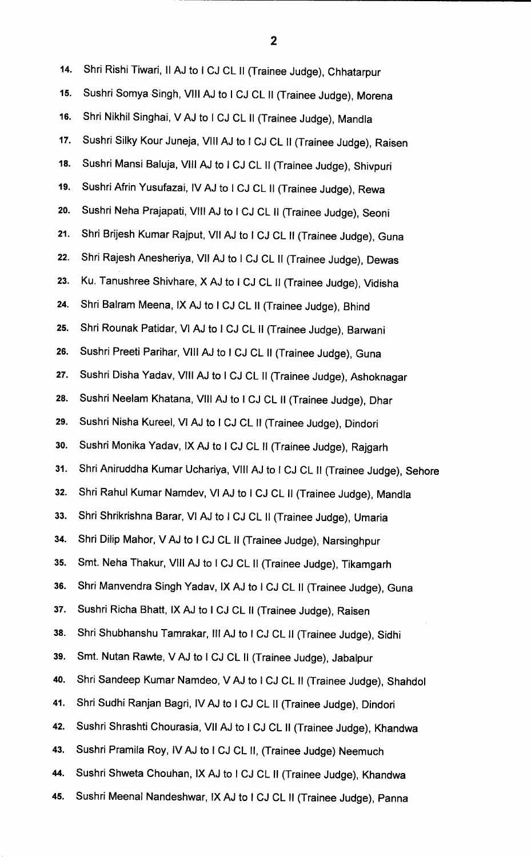14. Shri Rishi Tiwari, Il AJ to I CJ CL II (Trainee Judge), Chhatarpur 15. Sushri Somya Singh, VllI AJ to I CJ CL 11 (Trainee Judge), Morena 16. Shri Nikhil Singhai, VAJ to I CJ CL 11 (Trainee Judge), Mandla 17. Sushri Silky Kour Juneja, VllI AJ to I CJ CL 11 (Trainee Judge), Raisen 18. Sushri Mansi Baluja, VIll AJ to I CJ CL 11 (Trainee Judge), Shivpuri 19. Sushri Afrin Yusufazai, IV AJ to I CJ CL II (Trainee Judge), Rewa 2o. Sushri Neha Prajapati, Vlll AJ to I CJ CL 11 (Trainee Judge), Seoni 21. Shri Brijesh Kumar Rajput, VII AJ to I CJ CL II (Trainee Judge), Guna 22. Shri Rajesh Anesheriya, VII AJ to I CJ CL 11 (Trainee Judge), Dewas 23. Ku. Tanushree Shivhare, X AJ to I CJ CL 11 (Trainee Judge), Vidisha 24. Shri Balram Meena, lx AJ to I CJ CL 11 (Trainee Judge), Bhind 25. Shri Rounak Patidar, VI AJ to I CJ CL 11 (Trainee Judge), Barwani 26. Sushri Preeti Parihar, VIll AJ to I CJ CL 11 (Trainee Judge), Guna 27. Sushri Disha Yadav, VIII AJ to I CJ CL 11 (Trainee Judge), Ashoknagar 28. Sushri Neelam Khatana, Vlll AJ to I CJ CL 11 (Trainee Judge), Dhar 29. Sushri Nisha Kureel, VI AJ to I CJ CL 11 (Trainee Judge), Dindori 3o. Sushri Monika Yadav, lx AJ to I CJ CL 11 (Trainee Judge), Rajgarh 31. Shri Aniruddha Kumar Uchariya, VIII AJ to I CJ CL II (Trainee Judge), Sehore 32. Shri Rahul Kumar Namdev, VI AJ to I CJ CL 11 (Trainee Judge), Mandla 33. Shri Shrikrishna Barar, VI AJ to I CJ CL 11 (Trainee Judge), Umaria 34. Shri Dilip Mahor, VAJ to I CJ CL 11 (Trainee Judge), Narsinghpur 35. Smt. Neha Thakur, VllI AJ to I CJ CL 11 (Trainee Judge), Tikamgarh 36. Shri Manvendra Singh Yadav, lx AJ to I CJ CL 11 (Trainee Judge), Guna 37. Sushri Richa Bhatt, lx AJ to I CJ CL 11 (Trainee Judge), Raisen 38. Shri Shubhanshu Tamrakar, III AJ to I CJ CL II (Trainee Judge), Sidhi 39. Smt. Nutan Rawte, VAJ to I CJ CL 11 (Trainee Judge), Jabalpur 4o. Shri Sandeep Kumar Namdeo, VAJ to I CJ CL 11 (Trainee Judge), Shahdol 41. Shri Sudhi Ranjan Bagri, IV AJ to I CJ CL II (Trainee Judge), Dindori 42. Sushri Shrashti Chourasia, Vll AJ to I CJ CL 11 (Trainee Judge), Khandwa 43. Sushri Pramila Roy, IV AJ to I CJ CL II, (Trainee Judge) Neemuch 44. Sushri Shweta Chouhan, lx AJ to I CJ CL 11 (Trainee Judge), Khandwa 45. Sushri Meenal Nandeshwar, lx AJ to I CJ CL 11 (Trainee Judge), Panna

 $\overline{2}$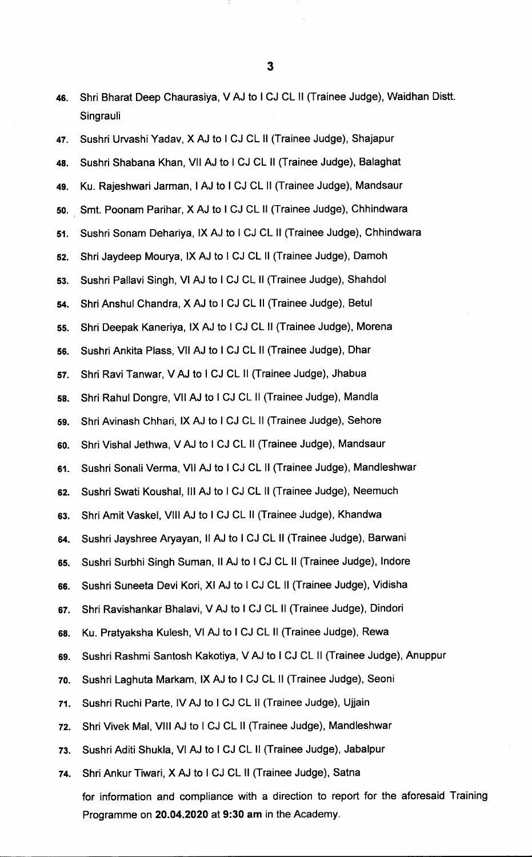46. Shri Bharat Deep Chaurasiya, V AJ to I CJ CL 11 (Trainee Judge), Waidhan Distt. Singrauli

47. Sushri Urvashi Yadav, X AJ to I CJ CL 11 (Trainee Judge), Shajapur 48. Sushri Shabana Khan, VII AJ to I CJ CL 11 (Trainee Judge), Balaghat 49. Ku. Rajeshwari Jarman, I AJ to I CJ CL II (Trainee Judge), Mandsaur 5o. Smt. Poonam Parihar, X AJ to I CJ CL 11 (Trainee Judge), Chhindwara 51. Sushri Sonam Dehariya, lx AJ to I CJ CL 11 (Trainee Judge), Chhindwara 52. Shri Jaydeep Mourya, lx AJ to I CJ CL 11 (Trainee Judge), Damoh 53. Sushri Pallavi Singh, VI AJ to I CJ CL 11 (Trainee Judge), Shahdol 54. Shri Anshul Chandra, X AJ to I CJ CL 11 (Trainee Judge), Betul 55. Shri Deepak Kaneriya, lx AJ to I CJ CL 11 (Trainee Judge), Morena 56. Sushri Ankita Plass, Vll AJ to I CJ CL 11 (Trainee Judge), Dhar 57. Shri Ravi Tanwar, V AJ to I CJ CL 11 (Trainee Judge), Jhabua 58. Shri Rahul Dongre, VII AJ to I CJ CL 11 (Trainee Judge), Mandla 59. Shri Avinash Chhari, IX AJ to I CJ CL 11 (Trainee Judge), Sehore 6o. Shri Vishal Jethwa, VAJ to I CJ CL 11 (Trainee Judge), Mandsaur 61. Sushri Sonali Verma, Vll AJ to I CJ CL 11 (Trainee Judge), Mandleshwar 62. Sushri Swati Koushal, III AJ to I CJ CL II (Trainee Judge), Neemuch 63. Shri Amit Vaskel, Vlll AJ to I CJ CL 11 (Trainee Judge), Khandwa 64. Sushri Jayshree Aryayan, Il AJ to I CJ CL II (Trainee Judge), Barwani 65. Sushri Surbhi Singh Suman, II AJ to I CJ CL II (Trainee Judge), Indore 66. Sushri Suneeta Devi Kori, XI AJ to I CJ CL 11 (Trainee Judge), Vidisha 67. Shri Ravishankar Bhalavi, V AJ to I CJ CL 11 (Trainee Judge), Dindori 68. Ku. Pratyaksha Kulesh, VI AJ to I CJ CL 11 (Trainee Judge), Rewa 69. Sushri Rashmi Santosh Kakotiya, VAJ to I CJ CL 11 (Trainee Judge), Anuppur 7o. Sushri Laghuta Markam, lx AJ to I CJ CL 11 (Trainee Judge), Seoni 71. Sushri Ruchi Parte, lvAJ to I CJ CL 11 (Trainee Judge), Ujjain 72. Shri Vivek Mal, Vlll AJ to I CJ CL 11 (Trainee Judge), Mandleshwar 73. Sushri Aditi Shukla, VI AJ to I CJ CL 11 (Trainee Judge), Jabalpur 74. Shri Ankur Tiwari, X AJ to I CJ CL 11 (Trainee Judge), Satna for information and compliance with a direction to report for the aforesaid Training Programme on 20.04.2020 at 9:30 am in the Academy.

 $\overline{\mathbf{3}}$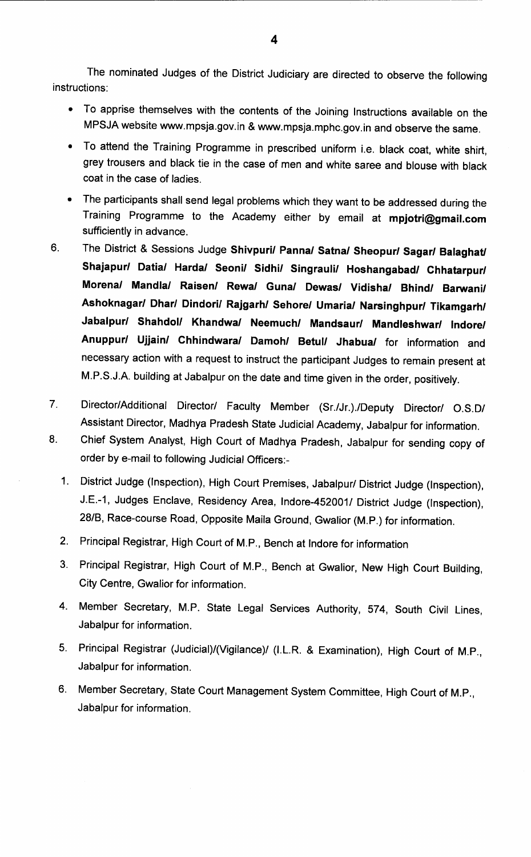The nominated Judges of the District Judiciary are directed to observe the following instructions:

- To apprise themselves with the contents of the Joining Instructions available on the MPSJA website www.mpsja.gov.in & www.mpsja.mphc.gov.in and observe the same.
- To attend the Training Programme in prescribed uniform i.e. black coat, white shirt, grey trousers and black tie in the case of men and white saree and blouse with black coat in the case of ladies.
- The participants shall send legal problems which they want to be addressed during the Training Programme to the Academy either by email at mpjotri@gmail.com sufficiently in advance.
- 6. The District & Sessions Judge shivpuri/ Panna/ Satna/ Sheopur/ Sagar/ Balaghat/ Shajapur/ Datia/ Harda/ Seoni/ Sidhi/ Singrauli/ Hoshangabad/ Chhatarpur/ Morena/ Mandla/ Raisen/ Rewa/ Guna/ Dewas/ Vidisha/ Bhind/ Barwani/ Ashoknagar/ Dhar/ Dindori/ Rajgarh/ Sehore/ Umaria/ Narsinghpur/ Tikamgarh/ Jabalpur/ Shahdol/ Khandwa/ Neemuch/ Mandsaur/ Mandleshwar/ lndore/ Anuppur/ Ujjain/ Chhindwara/ Damoh/ Betul/ Jhabua/ for information and necessary action with a request to instruct the participant Judges to remain present at M.P.S.J.A. building at Jabalpur on the date and time given in the order, positively.
- 7. Director/Additional Director/ Faculty Member (Sr./Jr.)./Deputy Director/ O.S.D/ Assistant Director, Madhya Pradesh State Judicial Academy, Jabalpur for information.
- 8. Chief System Analyst, High Court of Madhya Pradesh, Jabalpur for sending copy of order by e-mail to following Judicial Officers:-
	- 1. District Judge (Inspection), High Court Premises, Jabalpur/ District Judge (Inspection), J.E.-1, Judges Enclave, Residency Area, lndore-452001/ District Judge (Inspection), 28/B, Race-course Road, Opposite Maila Ground, Gwalior (M.P.) for information.
	- 2. Principal Registrar, High Court of M.P., Bench at lndore for information
	- 3. Principal Registrar, High Court of M.P., Bench at Gwalior, New High Court Building, City Centre, Gwalior for information.
	- 4. Member Secretary, M.P. State Legal Services Authority, 574, South Civil Lines, Jabalpur for information.
	- 5. Principal Registrar (Judicial)/(Vigilance)/ (I.L.R. & Examination), High Court of M.P., Jabalpur for information.
	- 6. Member Secretary, State Court Management System Committee, High Court of M.P., Jabalpur for information.

4